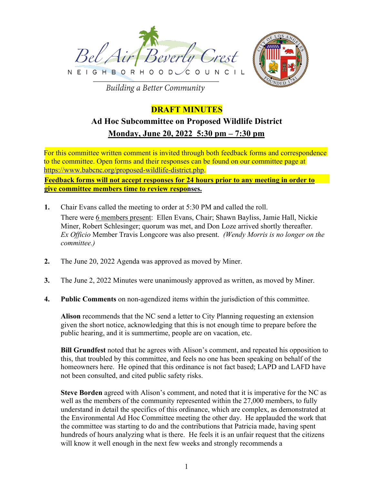



**Building a Better Community** 

## **DRAFT MINUTES**

# **Ad Hoc Subcommittee on Proposed Wildlife District Monday, June 20, 2022 5:30 pm – 7:30 pm**

For this committee written comment is invited through both feedback forms and correspondence to the committee. Open forms and their responses can be found on our committee page at https://www.babcnc.org/proposed-wildlife-district.php.

**Feedback forms will not accept responses for 24 hours prior to any meeting in order to give committee members time to review responses.**

- **1.** Chair Evans called the meeting to order at 5:30 PM and called the roll. There were 6 members present: Ellen Evans, Chair; Shawn Bayliss, Jamie Hall, Nickie Miner, Robert Schlesinger; quorum was met, and Don Loze arrived shortly thereafter. *Ex Officio* Member Travis Longcore was also present. *(Wendy Morris is no longer on the committee.)*
- **2.** The June 20, 2022 Agenda was approved as moved by Miner.
- **3.** The June 2, 2022 Minutes were unanimously approved as written, as moved by Miner.
- **4. Public Comments** on non-agendized items within the jurisdiction of this committee.

**Alison** recommends that the NC send a letter to City Planning requesting an extension given the short notice, acknowledging that this is not enough time to prepare before the public hearing, and it is summertime, people are on vacation, etc.

**Bill Grundfest** noted that he agrees with Alison's comment, and repeated his opposition to this, that troubled by this committee, and feels no one has been speaking on behalf of the homeowners here. He opined that this ordinance is not fact based; LAPD and LAFD have not been consulted, and cited public safety risks.

**Steve Borden** agreed with Alison's comment, and noted that it is imperative for the NC as well as the members of the community represented within the 27,000 members, to fully understand in detail the specifics of this ordinance, which are complex, as demonstrated at the Environmental Ad Hoc Committee meeting the other day. He applauded the work that the committee was starting to do and the contributions that Patricia made, having spent hundreds of hours analyzing what is there. He feels it is an unfair request that the citizens will know it well enough in the next few weeks and strongly recommends a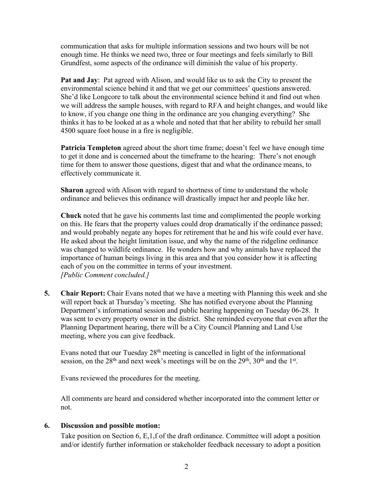communication that asks for multiple information sessions and two hours will be not enough time. He thinks we need two, three or four meetings and feels similarly to Bill Grundfest, some aspects of the ordinance will diminish the value of his property.

**Pat and Jay**: Pat agreed with Alison, and would like us to ask the City to present the environmental science behind it and that we get our committees' questions answered. She'd like Longcore to talk about the environmental science behind it and find out when we will address the sample houses, with regard to RFA and height changes, and would like to know, if you change one thing in the ordinance are you changing everything? She thinks it has to be looked at as a whole and noted that that her ability to rebuild her small 4500 square foot house in a fire is negligible.

**Patricia Templeton** agreed about the short time frame; doesn't feel we have enough time to get it done and is concerned about the timeframe to the hearing: There's not enough time for them to answer those questions, digest that and what the ordinance means, to effectively communicate it.

**Sharon** agreed with Alison with regard to shortness of time to understand the whole ordinance and believes this ordinance will drastically impact her and people like her.

**Chuck** noted that he gave his comments last time and complimented the people working on this. He fears that the property values could drop dramatically if the ordinance passed; and would probably negate any hopes for retirement that he and his wife could ever have. He asked about the height limitation issue, and why the name of the ridgeline ordinance was changed to wildlife ordinance. He wonders how and why animals have replaced the importance of human beings living in this area and that you consider how it is affecting each of you on the committee in terms of your investment. *[Public Comment concluded.]*

**5. Chair Report:** Chair Evans noted that we have a meeting with Planning this week and she will report back at Thursday's meeting. She has notified everyone about the Planning Department's informational session and public hearing happening on Tuesday 06-28. It was sent to every property owner in the district. She reminded everyone that even after the Planning Department hearing, there will be a City Council Planning and Land Use meeting, where you can give feedback.

Evans noted that our Tuesday 28th meeting is cancelled in light of the informational session, on the  $28<sup>th</sup>$  and next week's meetings will be on the  $29<sup>th</sup>$ ,  $30<sup>th</sup>$  and the 1<sup>st</sup>.

Evans reviewed the procedures for the meeting.

All comments are heard and considered whether incorporated into the comment letter or not.

### **6. Discussion and possible motion:**

Take position on Section 6, E,1,f of the draft ordinance. Committee will adopt a position and/or identify further information or stakeholder feedback necessary to adopt a position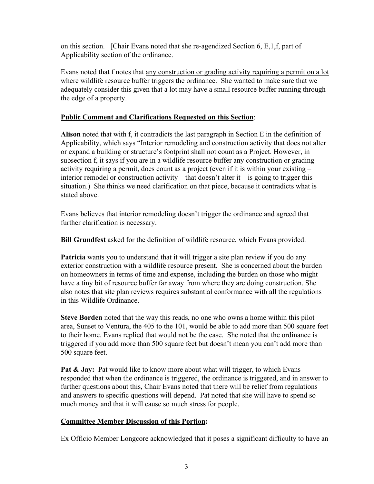on this section. [Chair Evans noted that she re-agendized Section 6, E,1,f, part of Applicability section of the ordinance.

Evans noted that f notes that any construction or grading activity requiring a permit on a lot where wildlife resource buffer triggers the ordinance. She wanted to make sure that we adequately consider this given that a lot may have a small resource buffer running through the edge of a property.

## **Public Comment and Clarifications Requested on this Section**:

**Alison** noted that with f, it contradicts the last paragraph in Section E in the definition of Applicability, which says "Interior remodeling and construction activity that does not alter or expand a building or structure's footprint shall not count as a Project. However, in subsection f, it says if you are in a wildlife resource buffer any construction or grading activity requiring a permit, does count as a project (even if it is within your existing – interior remodel or construction activity – that doesn't alter it – is going to trigger this situation.) She thinks we need clarification on that piece, because it contradicts what is stated above.

Evans believes that interior remodeling doesn't trigger the ordinance and agreed that further clarification is necessary.

**Bill Grundfest** asked for the definition of wildlife resource, which Evans provided.

**Patricia** wants you to understand that it will trigger a site plan review if you do any exterior construction with a wildlife resource present. She is concerned about the burden on homeowners in terms of time and expense, including the burden on those who might have a tiny bit of resource buffer far away from where they are doing construction. She also notes that site plan reviews requires substantial conformance with all the regulations in this Wildlife Ordinance.

**Steve Borden** noted that the way this reads, no one who owns a home within this pilot area, Sunset to Ventura, the 405 to the 101, would be able to add more than 500 square feet to their home. Evans replied that would not be the case. She noted that the ordinance is triggered if you add more than 500 square feet but doesn't mean you can't add more than 500 square feet.

Pat & Jay: Pat would like to know more about what will trigger, to which Evans responded that when the ordinance is triggered, the ordinance is triggered, and in answer to further questions about this, Chair Evans noted that there will be relief from regulations and answers to specific questions will depend. Pat noted that she will have to spend so much money and that it will cause so much stress for people.

## **Committee Member Discussion of this Portion:**

Ex Officio Member Longcore acknowledged that it poses a significant difficulty to have an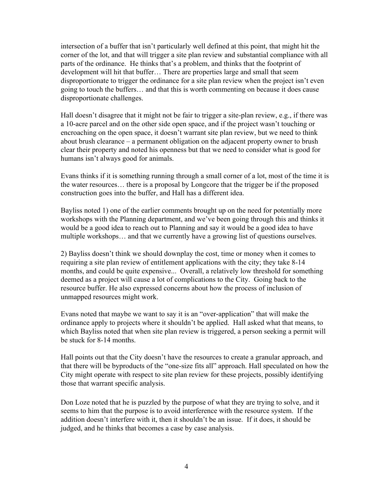intersection of a buffer that isn't particularly well defined at this point, that might hit the corner of the lot, and that will trigger a site plan review and substantial compliance with all parts of the ordinance. He thinks that's a problem, and thinks that the footprint of development will hit that buffer… There are properties large and small that seem disproportionate to trigger the ordinance for a site plan review when the project isn't even going to touch the buffers… and that this is worth commenting on because it does cause disproportionate challenges.

Hall doesn't disagree that it might not be fair to trigger a site-plan review, e.g., if there was a 10-acre parcel and on the other side open space, and if the project wasn't touching or encroaching on the open space, it doesn't warrant site plan review, but we need to think about brush clearance – a permanent obligation on the adjacent property owner to brush clear their property and noted his openness but that we need to consider what is good for humans isn't always good for animals.

Evans thinks if it is something running through a small corner of a lot, most of the time it is the water resources… there is a proposal by Longcore that the trigger be if the proposed construction goes into the buffer, and Hall has a different idea.

Bayliss noted 1) one of the earlier comments brought up on the need for potentially more workshops with the Planning department, and we've been going through this and thinks it would be a good idea to reach out to Planning and say it would be a good idea to have multiple workshops… and that we currently have a growing list of questions ourselves.

2) Bayliss doesn't think we should downplay the cost, time or money when it comes to requiring a site plan review of entitlement applications with the city; they take 8-14 months, and could be quite expensive... Overall, a relatively low threshold for something deemed as a project will cause a lot of complications to the City. Going back to the resource buffer. He also expressed concerns about how the process of inclusion of unmapped resources might work.

Evans noted that maybe we want to say it is an "over-application" that will make the ordinance apply to projects where it shouldn't be applied. Hall asked what that means, to which Bayliss noted that when site plan review is triggered, a person seeking a permit will be stuck for 8-14 months.

Hall points out that the City doesn't have the resources to create a granular approach, and that there will be byproducts of the "one-size fits all" approach. Hall speculated on how the City might operate with respect to site plan review for these projects, possibly identifying those that warrant specific analysis.

Don Loze noted that he is puzzled by the purpose of what they are trying to solve, and it seems to him that the purpose is to avoid interference with the resource system. If the addition doesn't interfere with it, then it shouldn't be an issue. If it does, it should be judged, and he thinks that becomes a case by case analysis.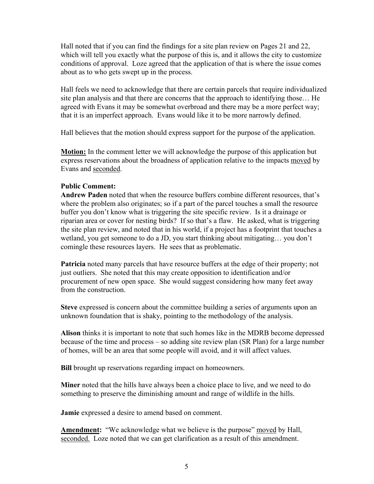Hall noted that if you can find the findings for a site plan review on Pages 21 and 22, which will tell you exactly what the purpose of this is, and it allows the city to customize conditions of approval. Loze agreed that the application of that is where the issue comes about as to who gets swept up in the process.

Hall feels we need to acknowledge that there are certain parcels that require individualized site plan analysis and that there are concerns that the approach to identifying those… He agreed with Evans it may be somewhat overbroad and there may be a more perfect way; that it is an imperfect approach. Evans would like it to be more narrowly defined.

Hall believes that the motion should express support for the purpose of the application.

**Motion:** In the comment letter we will acknowledge the purpose of this application but express reservations about the broadness of application relative to the impacts moved by Evans and seconded.

#### **Public Comment:**

**Andrew Paden** noted that when the resource buffers combine different resources, that's where the problem also originates; so if a part of the parcel touches a small the resource buffer you don't know what is triggering the site specific review. Is it a drainage or riparian area or cover for nesting birds? If so that's a flaw. He asked, what is triggering the site plan review, and noted that in his world, if a project has a footprint that touches a wetland, you get someone to do a JD, you start thinking about mitigating… you don't comingle these resources layers. He sees that as problematic.

**Patricia** noted many parcels that have resource buffers at the edge of their property; not just outliers. She noted that this may create opposition to identification and/or procurement of new open space. She would suggest considering how many feet away from the construction.

**Steve** expressed is concern about the committee building a series of arguments upon an unknown foundation that is shaky, pointing to the methodology of the analysis.

**Alison** thinks it is important to note that such homes like in the MDRB become depressed because of the time and process – so adding site review plan (SR Plan) for a large number of homes, will be an area that some people will avoid, and it will affect values.

**Bill** brought up reservations regarding impact on homeowners.

**Miner** noted that the hills have always been a choice place to live, and we need to do something to preserve the diminishing amount and range of wildlife in the hills.

**Jamie** expressed a desire to amend based on comment.

**Amendment:** "We acknowledge what we believe is the purpose" moved by Hall, seconded. Loze noted that we can get clarification as a result of this amendment.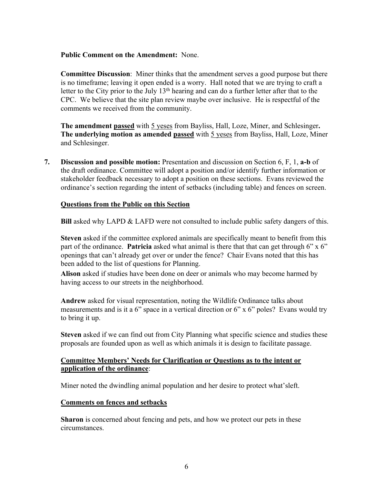### **Public Comment on the Amendment:** None.

**Committee Discussion**: Miner thinks that the amendment serves a good purpose but there is no timeframe; leaving it open ended is a worry. Hall noted that we are trying to craft a letter to the City prior to the July  $13<sup>th</sup>$  hearing and can do a further letter after that to the CPC. We believe that the site plan review maybe over inclusive. He is respectful of the comments we received from the community.

**The amendment passed** with 5 yeses from Bayliss, Hall, Loze, Miner, and Schlesinger**. The underlying motion as amended passed** with 5 yeses from Bayliss, Hall, Loze, Miner and Schlesinger.

**7. Discussion and possible motion:** Presentation and discussion on Section 6, F, 1, **a-b** of the draft ordinance. Committee will adopt a position and/or identify further information or stakeholder feedback necessary to adopt a position on these sections. Evans reviewed the ordinance's section regarding the intent of setbacks (including table) and fences on screen.

### **Questions from the Public on this Section**

**Bill** asked why LAPD & LAFD were not consulted to include public safety dangers of this.

**Steven** asked if the committee explored animals are specifically meant to benefit from this part of the ordinance. **Patricia** asked what animal is there that that can get through 6" x 6" openings that can't already get over or under the fence? Chair Evans noted that this has been added to the list of questions for Planning.

**Alison** asked if studies have been done on deer or animals who may become harmed by having access to our streets in the neighborhood.

**Andrew** asked for visual representation, noting the Wildlife Ordinance talks about measurements and is it a 6" space in a vertical direction or 6" x 6" poles? Evans would try to bring it up.

**Steven** asked if we can find out from City Planning what specific science and studies these proposals are founded upon as well as which animals it is design to facilitate passage.

## **Committee Members' Needs for Clarification or Questions as to the intent or application of the ordinance**:

Miner noted the dwindling animal population and her desire to protect what'sleft.

### **Comments on fences and setbacks**

**Sharon** is concerned about fencing and pets, and how we protect our pets in these circumstances.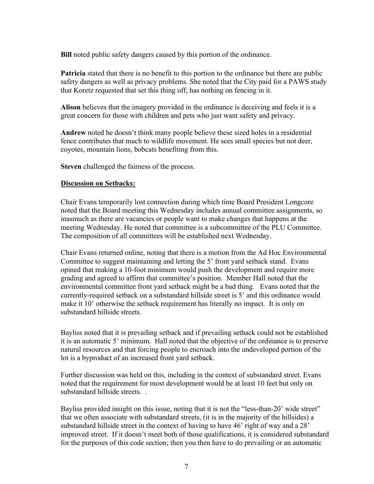**Bill** noted public safety dangers caused by this portion of the ordinance.

**Patricia** stated that there is no benefit to this portion to the ordinance but there are public safety dangers as well as privacy problems. She noted that the City paid for a PAWS study that Koretz requested that set this thing off, has nothing on fencing in it.

**Alison** believes that the imagery provided in the ordinance is deceiving and feels it is a great concern for those with children and pets who just want safety and privacy.

**Andrew** noted he doesn't think many people believe these sized holes in a residential fence contributes that much to wildlife movement. He sees small species but not deer, coyotes, mountain lions, bobcats benefiting from this.

**Steven** challenged the fairness of the process.

## **Discussion on Setbacks:**

Chair Evans temporarily lost connection during which time Board President Longcore noted that the Board meeting this Wednesday includes annual committee assignments, so inasmuch as there are vacancies or people want to make changes that happens at the meeting Wednesday. He noted that committee is a subcommittee of the PLU Committee. The composition of all committees will be established next Wednesday.

Chair Evans returned online, noting that there is a motion from the Ad Hoc Environmental Committee to suggest maintaining and letting the 5' front yard setback stand. Evans opined that making a 10-foot minimum would push the development and require more grading and agreed to affirm that committee's position. Member Hall noted that the environmental committee front yard setback might be a bad thing. Evans noted that the currently-required setback on a substandard hillside street is 5' and this ordinance would make it 10' otherwise the setback requirement has literally no impact. It is only on substandard hillside streets.

Bayliss noted that it is prevailing setback and if prevailing setback could not be established it is an automatic 5' minimum. Hall noted that the objective of the ordinance is to preserve natural resources and that forcing people to encroach into the undeveloped portion of the lot is a byproduct of an increased front yard setback.

Further discussion was held on this, including in the context of substandard street. Evans noted that the requirement for most development would be at least 10 feet but only on substandard hillside streets. .

Bayliss provided insight on this issue, noting that it is not the "less-than-20' wide street" that we often associate with substandard streets, (it is in the majority of the hillsides) a substandard hillside street in the context of having to have 46' right of way and a 28' improved street. If it doesn't meet both of those qualifications, it is considered substandard for the purposes of this code section; then you then have to do prevailing or an automatic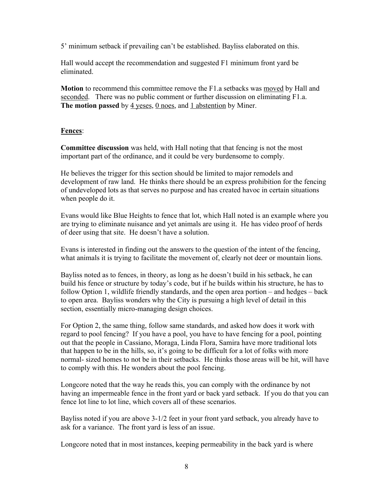5' minimum setback if prevailing can't be established. Bayliss elaborated on this.

Hall would accept the recommendation and suggested F1 minimum front yard be eliminated.

**Motion** to recommend this committee remove the F1.a setbacks was moved by Hall and seconded. There was no public comment or further discussion on eliminating F1.a. The motion passed by 4 yeses, 0 noes, and 1 abstention by Miner.

## **Fences**:

**Committee discussion** was held, with Hall noting that that fencing is not the most important part of the ordinance, and it could be very burdensome to comply.

He believes the trigger for this section should be limited to major remodels and development of raw land. He thinks there should be an express prohibition for the fencing of undeveloped lots as that serves no purpose and has created havoc in certain situations when people do it.

Evans would like Blue Heights to fence that lot, which Hall noted is an example where you are trying to eliminate nuisance and yet animals are using it. He has video proof of herds of deer using that site. He doesn't have a solution.

Evans is interested in finding out the answers to the question of the intent of the fencing, what animals it is trying to facilitate the movement of, clearly not deer or mountain lions.

Bayliss noted as to fences, in theory, as long as he doesn't build in his setback, he can build his fence or structure by today's code, but if he builds within his structure, he has to follow Option 1, wildlife friendly standards, and the open area portion – and hedges – back to open area. Bayliss wonders why the City is pursuing a high level of detail in this section, essentially micro-managing design choices.

For Option 2, the same thing, follow same standards, and asked how does it work with regard to pool fencing? If you have a pool, you have to have fencing for a pool, pointing out that the people in Cassiano, Moraga, Linda Flora, Samira have more traditional lots that happen to be in the hills, so, it's going to be difficult for a lot of folks with more normal- sized homes to not be in their setbacks. He thinks those areas will be hit, will have to comply with this. He wonders about the pool fencing.

Longcore noted that the way he reads this, you can comply with the ordinance by not having an impermeable fence in the front yard or back yard setback. If you do that you can fence lot line to lot line, which covers all of these scenarios.

Bayliss noted if you are above 3-1/2 feet in your front yard setback, you already have to ask for a variance. The front yard is less of an issue.

Longcore noted that in most instances, keeping permeability in the back yard is where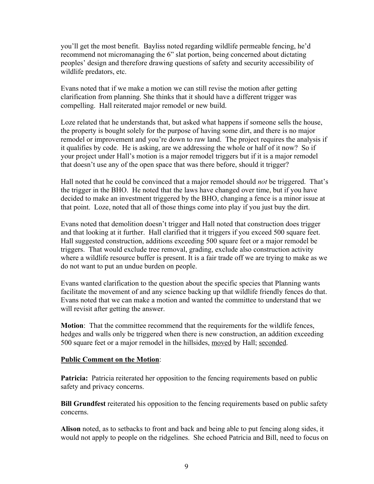you'll get the most benefit. Bayliss noted regarding wildlife permeable fencing, he'd recommend not micromanaging the 6" slat portion, being concerned about dictating peoples' design and therefore drawing questions of safety and security accessibility of wildlife predators, etc.

Evans noted that if we make a motion we can still revise the motion after getting clarification from planning. She thinks that it should have a different trigger was compelling. Hall reiterated major remodel or new build.

Loze related that he understands that, but asked what happens if someone sells the house, the property is bought solely for the purpose of having some dirt, and there is no major remodel or improvement and you're down to raw land. The project requires the analysis if it qualifies by code. He is asking, are we addressing the whole or half of it now? So if your project under Hall's motion is a major remodel triggers but if it is a major remodel that doesn't use any of the open space that was there before, should it trigger?

Hall noted that he could be convinced that a major remodel should *not* be triggered. That's the trigger in the BHO. He noted that the laws have changed over time, but if you have decided to make an investment triggered by the BHO, changing a fence is a minor issue at that point. Loze, noted that all of those things come into play if you just buy the dirt.

Evans noted that demolition doesn't trigger and Hall noted that construction does trigger and that looking at it further. Hall clarified that it triggers if you exceed 500 square feet. Hall suggested construction, additions exceeding 500 square feet or a major remodel be triggers. That would exclude tree removal, grading, exclude also construction activity where a wildlife resource buffer is present. It is a fair trade off we are trying to make as we do not want to put an undue burden on people.

Evans wanted clarification to the question about the specific species that Planning wants facilitate the movement of and any science backing up that wildlife friendly fences do that. Evans noted that we can make a motion and wanted the committee to understand that we will revisit after getting the answer.

**Motion**: That the committee recommend that the requirements for the wildlife fences, hedges and walls only be triggered when there is new construction, an addition exceeding 500 square feet or a major remodel in the hillsides, moved by Hall; seconded.

### **Public Comment on the Motion**:

**Patricia:** Patricia reiterated her opposition to the fencing requirements based on public safety and privacy concerns.

**Bill Grundfest** reiterated his opposition to the fencing requirements based on public safety concerns.

**Alison** noted, as to setbacks to front and back and being able to put fencing along sides, it would not apply to people on the ridgelines. She echoed Patricia and Bill, need to focus on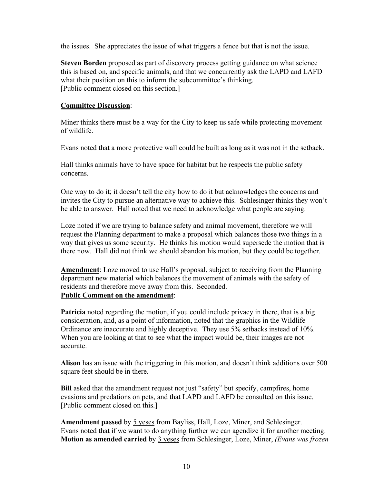the issues. She appreciates the issue of what triggers a fence but that is not the issue.

**Steven Borden** proposed as part of discovery process getting guidance on what science this is based on, and specific animals, and that we concurrently ask the LAPD and LAFD what their position on this to inform the subcommittee's thinking. [Public comment closed on this section.]

### **Committee Discussion**:

Miner thinks there must be a way for the City to keep us safe while protecting movement of wildlife.

Evans noted that a more protective wall could be built as long as it was not in the setback.

Hall thinks animals have to have space for habitat but he respects the public safety concerns.

One way to do it; it doesn't tell the city how to do it but acknowledges the concerns and invites the City to pursue an alternative way to achieve this. Schlesinger thinks they won't be able to answer. Hall noted that we need to acknowledge what people are saying.

Loze noted if we are trying to balance safety and animal movement, therefore we will request the Planning department to make a proposal which balances those two things in a way that gives us some security. He thinks his motion would supersede the motion that is there now. Hall did not think we should abandon his motion, but they could be together.

**Amendment**: Loze moved to use Hall's proposal, subject to receiving from the Planning department new material which balances the movement of animals with the safety of residents and therefore move away from this. Seconded. **Public Comment on the amendment**:

**Patricia** noted regarding the motion, if you could include privacy in there, that is a big consideration, and, as a point of information, noted that the graphics in the Wildlife Ordinance are inaccurate and highly deceptive. They use 5% setbacks instead of 10%. When you are looking at that to see what the impact would be, their images are not accurate.

**Alison** has an issue with the triggering in this motion, and doesn't think additions over 500 square feet should be in there.

**Bill** asked that the amendment request not just "safety" but specify, campfires, home evasions and predations on pets, and that LAPD and LAFD be consulted on this issue. [Public comment closed on this.]

**Amendment passed** by 5 yeses from Bayliss, Hall, Loze, Miner, and Schlesinger. Evans noted that if we want to do anything further we can agendize it for another meeting. **Motion as amended carried** by 3 yeses from Schlesinger, Loze, Miner, *(Evans was frozen*